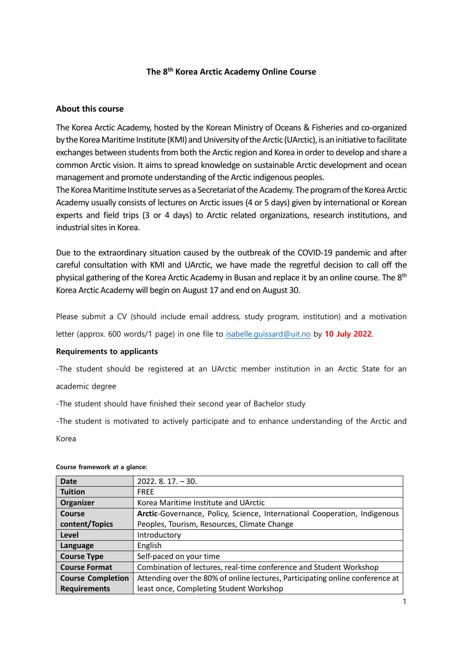### **The 8th Korea Arctic Academy Online Course**

### **About this course**

The Korea Arctic Academy, hosted by the Korean Ministry of Oceans & Fisheries and co-organized by the Korea Maritime Institute (KMI) and University of the Arctic (UArctic), is an initiative to facilitate exchanges between students from both the Arctic region and Korea in order to develop and share a common Arctic vision. It aims to spread knowledge on sustainable Arctic development and ocean management and promote understanding of the Arctic indigenous peoples.

The Korea Maritime Institute serves as a Secretariat of the Academy. The program of the Korea Arctic Academy usually consists of lectures on Arctic issues (4 or 5 days) given by international or Korean experts and field trips (3 or 4 days) to Arctic related organizations, research institutions, and industrial sites in Korea.

Due to the extraordinary situation caused by the outbreak of the COVID-19 pandemic and after careful consultation with KMI and UArctic, we have made the regretful decision to call off the physical gathering of the Korea Arctic Academy in Busan and replace it by an online course. The 8<sup>th</sup> Korea Arctic Academy will begin on August 17 and end on August 30.

Please submit a CV (should include email address, study program, institution) and a motivation letter (approx. 600 words/1 page) in one file to [isabelle.guissard@uit.no](mailto:isabelle.guissard@uit.no) by **10 July 2022**.

#### **Requirements to applicants**

-The student should be registered at an UArctic member institution in an Arctic State for an

## academic degree

-The student should have finished their second year of Bachelor study

-The student is motivated to actively participate and to enhance understanding of the Arctic and Korea

| <b>Date</b>              | $2022.8.17. - 30.$                                                            |  |  |
|--------------------------|-------------------------------------------------------------------------------|--|--|
| <b>Tuition</b>           | <b>FREE</b>                                                                   |  |  |
| Organizer                | Korea Maritime Institute and UArctic                                          |  |  |
| Course                   | Arctic-Governance, Policy, Science, International Cooperation, Indigenous     |  |  |
| content/Topics           | Peoples, Tourism, Resources, Climate Change                                   |  |  |
| Level                    | Introductory                                                                  |  |  |
| Language                 | English                                                                       |  |  |
| <b>Course Type</b>       | Self-paced on your time                                                       |  |  |
| <b>Course Format</b>     | Combination of lectures, real-time conference and Student Workshop            |  |  |
| <b>Course Completion</b> | Attending over the 80% of online lectures, Participating online conference at |  |  |
| <b>Requirements</b>      | least once, Completing Student Workshop                                       |  |  |

#### **Course framework at a glance:**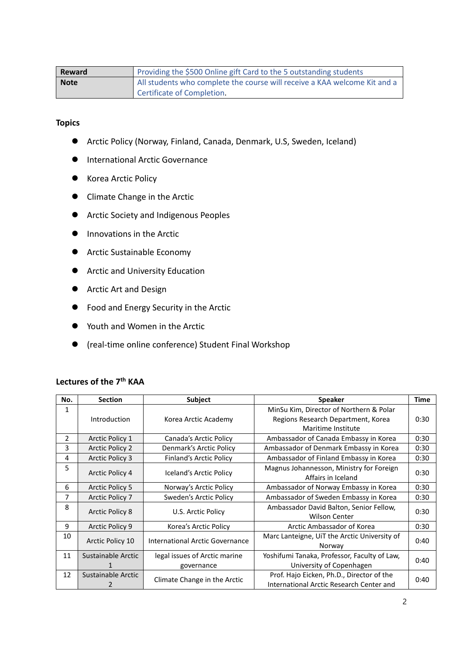| Reward | Providing the \$500 Online gift Card to the 5 outstanding students        |  |  |  |
|--------|---------------------------------------------------------------------------|--|--|--|
| Note   | All students who complete the course will receive a KAA welcome Kit and a |  |  |  |
|        | Certificate of Completion.                                                |  |  |  |

### **Topics**

- Arctic Policy (Norway, Finland, Canada, Denmark, U.S, Sweden, Iceland)
- **International Arctic Governance**
- Korea Arctic Policy
- **•** Climate Change in the Arctic
- **•** Arctic Society and Indigenous Peoples
- **Innovations in the Arctic**
- Arctic Sustainable Economy
- **•** Arctic and University Education
- **•** Arctic Art and Design
- **•** Food and Energy Security in the Arctic
- Youth and Women in the Arctic
- (real-time online conference) Student Final Workshop

| No. | <b>Section</b>                                     | Subject                                  | <b>Speaker</b>                                                  | <b>Time</b> |
|-----|----------------------------------------------------|------------------------------------------|-----------------------------------------------------------------|-------------|
| 1   |                                                    |                                          | MinSu Kim, Director of Northern & Polar                         |             |
|     | Introduction                                       | Korea Arctic Academy                     | Regions Research Department, Korea                              | 0:30        |
|     |                                                    |                                          | Maritime Institute                                              |             |
| 2   | Arctic Policy 1                                    | Canada's Arctic Policy                   | Ambassador of Canada Embassy in Korea                           | 0:30        |
| 3   | <b>Arctic Policy 2</b>                             | Denmark's Arctic Policy                  | Ambassador of Denmark Embassy in Korea                          | 0:30        |
| 4   | <b>Arctic Policy 3</b>                             | Finland's Arctic Policy                  | Ambassador of Finland Embassy in Korea                          | 0:30        |
| 5   | <b>Arctic Policy 4</b>                             | Iceland's Arctic Policy                  | Magnus Johannesson, Ministry for Foreign<br>Affairs in Iceland  | 0:30        |
| 6   | <b>Arctic Policy 5</b>                             | Norway's Arctic Policy                   | Ambassador of Norway Embassy in Korea                           | 0:30        |
| 7   | <b>Arctic Policy 7</b>                             | Sweden's Arctic Policy                   | Ambassador of Sweden Embassy in Korea                           | 0:30        |
| 8   | <b>Arctic Policy 8</b>                             | U.S. Arctic Policy                       | Ambassador David Balton, Senior Fellow,<br><b>Wilson Center</b> | 0:30        |
| 9   | Arctic Policy 9                                    | Korea's Arctic Policy                    | Arctic Ambassador of Korea                                      | 0:30        |
| 10  | Arctic Policy 10                                   | International Arctic Governance          | Marc Lanteigne, UiT the Arctic University of<br>Norway          | 0:40        |
| 11  | Sustainable Arctic                                 | legal issues of Arctic marine            | Yoshifumi Tanaka, Professor, Faculty of Law,                    |             |
|     |                                                    | governance                               | University of Copenhagen                                        | 0:40        |
| 12  | Sustainable Arctic<br>Climate Change in the Arctic |                                          | Prof. Hajo Eicken, Ph.D., Director of the                       | 0:40        |
|     |                                                    | International Arctic Research Center and |                                                                 |             |

# **Lectures of the 7th KAA**